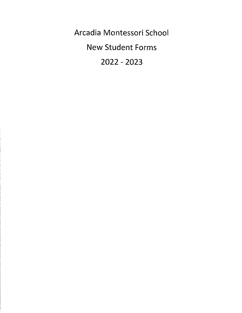Arcadia Montessori School New Student Forms 2022 - 2023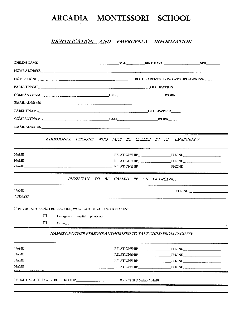### IDENTIFICATION AND EMERGENCY INFORMATION

| HOME PHONE THE CONSTRUCTION OF THE CONSTRUCTION OF THE CONSTRUCTION OF THE CONSTRUCTION OF THE CONSTRUCTION OF                                                                                                                |                                                                                                                                                                                                                                | BOTH PARENTS LIVING AT THIS ADDRESS? |  |
|-------------------------------------------------------------------------------------------------------------------------------------------------------------------------------------------------------------------------------|--------------------------------------------------------------------------------------------------------------------------------------------------------------------------------------------------------------------------------|--------------------------------------|--|
| PARENT NAME                                                                                                                                                                                                                   |                                                                                                                                                                                                                                |                                      |  |
|                                                                                                                                                                                                                               |                                                                                                                                                                                                                                |                                      |  |
|                                                                                                                                                                                                                               |                                                                                                                                                                                                                                |                                      |  |
|                                                                                                                                                                                                                               |                                                                                                                                                                                                                                |                                      |  |
| COMPANY NAME CELL WORK WORK WORK                                                                                                                                                                                              |                                                                                                                                                                                                                                |                                      |  |
|                                                                                                                                                                                                                               |                                                                                                                                                                                                                                |                                      |  |
|                                                                                                                                                                                                                               |                                                                                                                                                                                                                                |                                      |  |
|                                                                                                                                                                                                                               | ADDITIONAL PERSONS WHO MAY BE CALLED IN AN EMERGENCY                                                                                                                                                                           |                                      |  |
| NAME PHONE PHONE PHONE PHONE                                                                                                                                                                                                  |                                                                                                                                                                                                                                |                                      |  |
|                                                                                                                                                                                                                               |                                                                                                                                                                                                                                |                                      |  |
| NAME PHONE PHONE PHONE                                                                                                                                                                                                        |                                                                                                                                                                                                                                |                                      |  |
|                                                                                                                                                                                                                               | PHYSICIAN TO BE CALLED IN AN EMERGENCY                                                                                                                                                                                         |                                      |  |
| NAME <u> PHONE</u>                                                                                                                                                                                                            |                                                                                                                                                                                                                                |                                      |  |
| ADDRESS ARE A CONTROL CONTROL CONTROL CONTROL CONTROL CONTROL CONTROL CONTROL CONTROL CONTROL CONTROL CONTROL CONTROL CONTROL CONTROL CONTROL CONTROL CONTROL CONTROL CONTROL CONTROL CONTROL CONTROL CONTROL CONTROL CONTROL |                                                                                                                                                                                                                                |                                      |  |
|                                                                                                                                                                                                                               |                                                                                                                                                                                                                                |                                      |  |
| IF PHYSICIAN CANNOT BE REACHED, WHAT ACTION SHOULD BE TAKEN?<br>$\Box$<br>Emergency hospital physician                                                                                                                        |                                                                                                                                                                                                                                |                                      |  |
| $\Box$                                                                                                                                                                                                                        | Other experiences are a series of the series of the series of the series of the series of the series of the series of the series of the series of the series of the series of the series of the series of the series of the se |                                      |  |
|                                                                                                                                                                                                                               |                                                                                                                                                                                                                                |                                      |  |
|                                                                                                                                                                                                                               | NAMES OF OTHER PERSONS AUTHORIZED TO TAKE CHILD FROM FACILITY                                                                                                                                                                  |                                      |  |
| <b>NAME</b>                                                                                                                                                                                                                   | RELATIONSHIP_                                                                                                                                                                                                                  | PHONE                                |  |
| <b>NAME</b>                                                                                                                                                                                                                   | <b>RELATIONSHIP</b>                                                                                                                                                                                                            | PHONE                                |  |
| <b>NAME</b>                                                                                                                                                                                                                   | <b>RELATIONSHIP</b>                                                                                                                                                                                                            | PHONE                                |  |
| NAME                                                                                                                                                                                                                          | RELATIONSHIP                                                                                                                                                                                                                   | <b>PHONE</b>                         |  |

USUAL TIME CHILD WILL BE PICKED UP DOES CHILD NEED A NAP?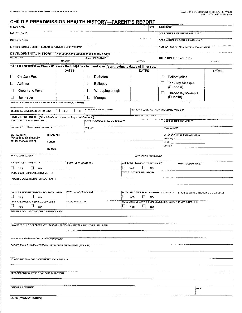### CHILD'S PREADMISSION HEALTH HISTORY-PARENT'S REPORT

| CHILD'S NAME                                                                                    |                  |                         |                                  |    |                                                                  | SEX                                  | <b>BIRTH DATE</b>                           |                                                                |               |
|-------------------------------------------------------------------------------------------------|------------------|-------------------------|----------------------------------|----|------------------------------------------------------------------|--------------------------------------|---------------------------------------------|----------------------------------------------------------------|---------------|
| <b>FATHER'S NAME</b>                                                                            |                  |                         |                                  |    |                                                                  | DOES FATHER LIVE IN HOME WITH CHILD? |                                             |                                                                |               |
| MOTHER'S NAME                                                                                   |                  |                         |                                  |    |                                                                  | DOES MOTHER LIVE IN HOME WITH CHILD? |                                             |                                                                |               |
| IS /HAS CHILD BEEN UNDER REGULAR SUPERVISION OF PHYSICIAN?                                      |                  |                         |                                  |    |                                                                  |                                      | DATE OF LAST PHYSICAL MEDICAL EXAMINATION   |                                                                |               |
| DEVELOPMENTAL HISTORY (*For infants and preschool-age children only)                            |                  |                         |                                  |    |                                                                  |                                      |                                             |                                                                |               |
| WALKED AT*                                                                                      |                  | <b>MONTHS</b>           | <b>BEGAN TALKING AT*</b>         |    | MONTHS                                                           |                                      | TOILET TRAINING STARTED AT*                 |                                                                | <b>MONTHS</b> |
| PAST ILLNESSES - Check Illnesses that child has had and specify approximate dates of illnesses: |                  |                         |                                  |    |                                                                  |                                      |                                             |                                                                |               |
|                                                                                                 |                  | <b>DATES</b>            |                                  |    | DATES                                                            |                                      |                                             |                                                                | <b>DATES</b>  |
| Chicken Pox<br>ப                                                                                |                  |                         | <b>Diabetes</b><br>⊔             |    |                                                                  |                                      | $\Box$                                      | Poliomyelitis                                                  |               |
| □<br>Asthma                                                                                     |                  |                         | Epilepsy<br>U                    |    |                                                                  |                                      | U<br>(Rubeola)                              | <b>Ten-Day Measles</b>                                         |               |
| $\Box$<br><b>Rheumatic Fever</b>                                                                |                  |                         | Whooping cough<br>⊔              |    |                                                                  |                                      | ∐                                           | <b>Three-Day Measles</b>                                       |               |
| $\Box$<br><b>Hay Fever</b>                                                                      |                  |                         | $\Box$<br>Mumps                  |    |                                                                  |                                      | (Rubella)                                   |                                                                |               |
| SPECIFY ANY OTHER SERIOUS OR SEVERE ILLNESSES OR ACCIDENTS                                      |                  |                         |                                  |    |                                                                  |                                      |                                             |                                                                |               |
| DOES CHILD HAVE FREQUENT COLDS?                                                                 | $\Box$ YES       | $\Box$ NO               | HOW MANY IN LAST YEAR?           |    |                                                                  |                                      | LIST ANY ALLERGIES STAFF SHOULD BE AWARE OF |                                                                |               |
| DAILY ROUTINES (*For infants and preschool-age children only)<br>WHAT TIME DOES CHILD GET UP?*  |                  |                         |                                  |    |                                                                  |                                      |                                             |                                                                |               |
|                                                                                                 |                  |                         | WHAT TIME DOES CHILD GO TO BED?* |    |                                                                  |                                      |                                             | DOES CHILD SLEEP WELL?*                                        |               |
| DOES CHILD SLEEP DURING THE DAY?*                                                               |                  |                         | WHEN?*                           |    |                                                                  |                                      | HOW LONG?*                                  |                                                                |               |
| <b>DIET PATTERN:</b><br>(What does child usually                                                | <b>BREAKFAST</b> |                         |                                  |    |                                                                  |                                      |                                             | WHAT ARE USUAL EATING HOURS?<br>BREAKFAST ____________________ |               |
| eat for these meals?)<br>LUNCH                                                                  |                  |                         |                                  |    |                                                                  |                                      | LUNCH <sub>.</sub><br><b>DINNER</b>         |                                                                |               |
| <b>DINNER</b>                                                                                   |                  |                         |                                  |    |                                                                  |                                      |                                             |                                                                |               |
| ANY FOOD DISLIKES?                                                                              |                  |                         |                                  |    |                                                                  | ANY EATING PROBLEMS?                 |                                             |                                                                |               |
| IS CHILD TOILET TRANED?*                                                                        |                  | IF YES, AT WHAT STAGE:≠ |                                  |    | ARE BOWEL MOVEMENTS REGULAR? <sup>*</sup>                        |                                      |                                             | WHAT IS USUAL TIME? <sup>*</sup>                               |               |
| <b>YES</b><br>⊔<br><b>NO</b>                                                                    |                  |                         |                                  | □  | <b>YES</b><br>ப                                                  | <b>NO</b>                            |                                             |                                                                |               |
| WORD USED FOR URINATION*<br>WORD USED FOR 'BOWEL MOVEMENT'*                                     |                  |                         |                                  |    |                                                                  |                                      |                                             |                                                                |               |
| PARENT'S EVALUATION OF CHILD'S HEALTH                                                           |                  |                         |                                  |    |                                                                  |                                      |                                             |                                                                |               |
|                                                                                                 |                  |                         |                                  |    |                                                                  |                                      |                                             |                                                                |               |
| IS CHILD PRESENTLY UNDER A DOCTOR'S CARE?<br>$\Box$                                             |                  | IF YES, NAME OF DOCTOR: |                                  | □  |                                                                  |                                      | DOES CHILD TAKE PRESCRIBED MEDICATION(S)?   | IF YES, WHAT KIND AND ANY SIDE EFFECTS:                        |               |
| <b>YES</b><br>- NO<br>DOES CHILD USE ANY SPECIAL DEVICE(S):<br>IF YES, WHAT KIND:               |                  | ⊔<br>YES                | <b>NO</b>                        |    | DOES CHILD USE ANY SPECIAL DEVICE(S) AT HOME? IF YES, WHAT KIND: |                                      |                                             |                                                                |               |
| $\Box$<br>ப<br>YES.<br>- NO                                                                     |                  | □                       | $\Box$<br>YES                    | NO |                                                                  |                                      |                                             |                                                                |               |
| PARENT'S EVALUATION OF CHILD'S PERSONALITY                                                      |                  |                         |                                  |    |                                                                  |                                      |                                             |                                                                |               |
|                                                                                                 |                  |                         |                                  |    |                                                                  |                                      |                                             |                                                                |               |
| HOW DOES CHILD GET ALONG WITH PARENTS, BROTHERS, SISTERS AND OTHER CHILDREN?                    |                  |                         |                                  |    |                                                                  |                                      |                                             |                                                                |               |
|                                                                                                 |                  |                         |                                  |    |                                                                  |                                      |                                             |                                                                |               |
| HAS THE CHILD HAD GROUP PLAY EXPERIENCES?                                                       |                  |                         |                                  |    |                                                                  |                                      |                                             |                                                                |               |
| DOES THE CHILD HAVE ANY SPECIAL PROBLEMS/FEARS/NEEDS? (EXPLAIN.)                                |                  |                         |                                  |    |                                                                  |                                      |                                             |                                                                |               |
|                                                                                                 |                  |                         |                                  |    |                                                                  |                                      |                                             |                                                                |               |
| WHAT IS THE PLAN FOR CARE WHEN THE CHILD IS ILL?                                                |                  |                         |                                  |    |                                                                  |                                      |                                             |                                                                |               |
|                                                                                                 |                  |                         |                                  |    |                                                                  |                                      |                                             |                                                                |               |
| REASON FOR REQUESTING DAY CARE PLACEMENT                                                        |                  |                         |                                  |    |                                                                  |                                      |                                             |                                                                |               |
|                                                                                                 |                  |                         |                                  |    |                                                                  |                                      |                                             |                                                                |               |
|                                                                                                 |                  |                         |                                  |    |                                                                  |                                      |                                             |                                                                |               |
| PARENT'S SIGNATURE                                                                              |                  |                         |                                  |    |                                                                  |                                      |                                             | DATE                                                           |               |
| LIC 702 (7/99) (CONFIDENTIAL)                                                                   |                  |                         |                                  |    |                                                                  |                                      |                                             |                                                                |               |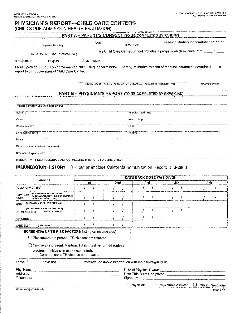<u> 1986 - Louis Communication de la communication de la communication de la communication de la communication de</u><br>La communication de la communication de la communication de la communication de la communication de la commun

### PHYSICIAN'S REPORT-CHILD CARE CENTERS

•

(CHILD'S PRE-ADMISSION HEALTH EVALUATION)

PART A — PARENT'S CONSENT (TO BE COMPLETED BY PARENT)

**1992** is being studied for readiness to enter  $MME OF CHLDP$  MIRTH DATE)

 . This Child Care Center/School provides a program which extends from NAME OF CHILD CARE CENTER/SCHOOL/

a.m./p.m. to \_\_\_\_\_\_\_ a.m./p.m. , \_\_\_\_\_\_\_\_\_\_ days a week.

Please provide a report on above-named child using the form below. I hereby authorize release of medical information contained in this report to the above-named Child Care Center.

(SIGNATURE OF PARENT, GUARDIAN, OR CHILD'S AUTHORIZED REPRESENTATIVE) (WITH THE TRODAY'S DATE)

# PART B – PHYSICIAN'S REPORT (TO BE COMPLETED BY PHYSICIAN)

| Problems of which you should be aware:                               |                      |
|----------------------------------------------------------------------|----------------------|
| Hearing:                                                             | Altergies: medicine; |
| Vision:                                                              | Insect stings:       |
| Developmental:                                                       | Food:                |
| Language/Speech:                                                     | Asihma:              |
| Dental:                                                              |                      |
| Other (include behavioral concerns):                                 |                      |
| Comments/Explanations:                                               |                      |
| "MEDICATION PRESCRIBED/SPECIAL ROUTINES/RESTRICTIONS FOR THIS CHILD! |                      |

#### IMMUNIZATION HISTORY: (Fill out or enclose California Immunization Record, PM-298.)

| <b>VACCINE</b>                                                                                                                                   | DATE EACH DOSE WAS GIVEN |  |  |     |                                                          |     |                         |     |  |     |                           |
|--------------------------------------------------------------------------------------------------------------------------------------------------|--------------------------|--|--|-----|----------------------------------------------------------|-----|-------------------------|-----|--|-----|---------------------------|
|                                                                                                                                                  | 1st                      |  |  | 2nd |                                                          | 3rd |                         | 4th |  | 5th |                           |
| POLIO (OPV OR IPV)                                                                                                                               |                          |  |  |     |                                                          |     |                         |     |  |     |                           |
| (DIPHTHERIA, TETANUS AND<br>OTP/DTaP/<br>(ACELLULAR) PERTUSSIS OR TETANUS<br><b>DT/Td</b><br>AND DIPHTHERIA ONLY)                                |                          |  |  |     |                                                          |     |                         |     |  |     |                           |
| (MEASLES, MUMPS, AND RUBELLA)<br>MMR                                                                                                             |                          |  |  |     |                                                          |     |                         |     |  |     |                           |
| (REQUIRED FOR CHILD CARE ONLY)<br>(HAEMOPHILUS B)<br><b>HIB MENINGITIS</b>                                                                       |                          |  |  |     |                                                          |     |                         |     |  |     |                           |
| <b>HEPATITIS B</b>                                                                                                                               |                          |  |  |     |                                                          |     |                         |     |  |     |                           |
| VARICELLA<br>(CHICKENPOX)                                                                                                                        |                          |  |  |     |                                                          |     |                         |     |  |     |                           |
| <b>SCREENING OF TB RISK FACTORS (listing on reverse side)</b>                                                                                    |                          |  |  |     |                                                          |     |                         |     |  |     |                           |
| <b>TE Risk factors not present; TB skin test not required.</b>                                                                                   |                          |  |  |     |                                                          |     |                         |     |  |     |                           |
| Risk factors present; Mantoux TB skin test performed (unless<br>previous positive skin test documented).<br>Communicable TB disease not present. |                          |  |  |     |                                                          |     |                         |     |  |     |                           |
| I have $\Box$<br>have not $\Box$                                                                                                                 |                          |  |  |     | reviewed the above information with the parent/guardian. |     |                         |     |  |     |                           |
| Physician:<br>Address:<br>.<br>1999 Martin Strand and American Strand American Strand Communication of the Communication of the Strand Americ    |                          |  |  |     |                                                          |     |                         |     |  |     |                           |
|                                                                                                                                                  |                          |  |  |     | Physician                                                |     | ∐ Physician's Assistant |     |  |     | <b>Nurse Practitioner</b> |
| LIC 701 (8/08) (Contidential)                                                                                                                    |                          |  |  |     |                                                          |     |                         |     |  |     | <b>PAGE</b> 1052          |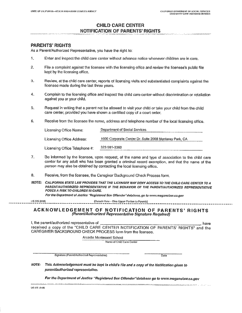<u> 1950 - John Berger, martin a</u>

### CHILD CARE CENTER NOTIFICATION OF PARENTS' RIGHTS

#### PARENTS' RIGHTS

As a Parent/Authorized Representative, you have the right to:

- I. Enter and inspect the child care center without advance notice whenever children are in care.
- 2. File a complaint against the licensee with the licensing office and review the licensee's public file kept by the licensing office.
- 3. Review, at the child care center, reports of licensing visits and substantiated complaints against the licensee made during the last three years.
- 4. Complain to the licensing office and inspect the child care center without discrimination or retaliation against you or your child.
- 5. Request in writing that a parent not be allowed to visit your child or take your child from the child care center, provided you have shown a certified copy of a court order.
- 6. Receive from the licensee the name, address and telephone number of the local licensing office.

| Licensing Office Name:        | Department of Social Services                          |
|-------------------------------|--------------------------------------------------------|
| Licensing Office Address:     | 1000 Corporate Center Dr. Suite 2008 Monterey Park, CA |
| Licensing Office Telephone #: | 323 981-3360                                           |

- 7. Be informed by the licensee, upon request, of the name and type of association to the child care center for any adult who has been granted a criminal record exemption, and that the name of the person may also be obtained by contacting the local licensing office.
- 8. Receive, from the licensee, the Caregiver Background Check Process form.
- NOTE: CALIFORNIA STATE LAW PROVIDES THAT THE LICENSEE MAY DENY ACCESS TO THE CHILD CARE CENTER TO A PARENT/AUTHORIZED REPRESENTATIVE IF THE BEHAVIOR OF THE PARENT/AUTHORIZED REPRESENTATIVE POSES A RISK TO CHILDREN IN CARE,

For the Department of Justice "Registered Sex Offender"database, go to www.meganslaw.ca.gov

110 tlEt5 (9/08) (Detach liere - Give Upper Portion lo Parents)

#### ACKNOWLEDGEMENT OF NOTIFICATION OF PARENTS' RIGHTS (Parent/Authorized Representative Signature Required)

| l, the parent/authorized representative of                                         | . have |
|------------------------------------------------------------------------------------|--------|
| received a copy of the "CHILD CARE CENTER NOTIFICATION OF PARENTS' RIGHTS" and the |        |
| CAREGIVER BACKGROUND CHECK PROCESS form from the licensee.                         |        |

Arcadia Montessori School

Name of Child care center

Signature (Parent/Authorized Representative) Date

NOTE: This Acknowledgement must he kept in child's file and a copy of the Notification given to parent/authorized representative.

For the Department of Justice "Registered Sex Offender"database go to www.meganslaw.ca.gov

<u> 1976 - Jacob Alexandro de Maria (h. 1982). Alexandro de la france de la capital de la capital de la capital d</u>

 $LIC$  SOS  $(9/68)$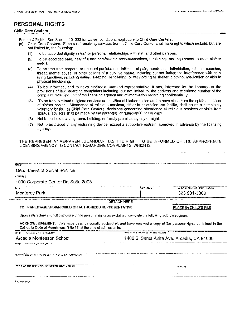<u> 12 mart - Ale Britannich versch</u>

# PERSONAL RIGHTS

#### Child Care Centers with a communication of the company

Personal Rights, See Section 101223 for waiver conditions applicable to Child Care Centers.

- (a) Child Care Centers. Each child receiving services from a Child Care Center shall have rights which include, but are not limited to, the following:
	- (1) To be accorded dignity in his/her personal relationships with staff and other persons.
	- (2) To be accorded safe, healthful and comfortable accommodations, furnishings and equipment to meet his/her needs.

and the company of the continuum of the contract of the continuum of the contract of the continuum of the contract of the contract of the contract of the contract of the contract of the contract of the contract of the cont

- (3) To be free from corporal or unusual punishment, infliction of pain, humiliation, Intimidation, ridicule, coercion, threat, mental abuse, or other actions of a punitive nature, including but not limited to: interference with daily living functions, including eating, sleeping, or toileting; or withholding of shelter, clothing, medication or aids to physical functioning.
- (4) To be informed, and to have his/her authorized representative, if any, informed by the licensee of the provisions of law regarding complaints including, but not limited to, the address and telephone number of the complaint receiving unit of the licensing agency and of information regarding confidentiality.
- (6) To be free to attend religious services or activities of his/her choice and to have visits from the spiritual advisor of his/her choice. Attendance at religious services, either in or outside the facility, shall be on a completely voluntary basis. In Child Care Centers, decisions concerning attendance at religious services or visits from spiritual advisors shall be made by the parent(s), or guardian(s) of the child.
- (6) Not to be locked in any room, building, or facility premises by day or night.
- (7) Not to be placed in any restraining device, except a supportive restraint approved in advance by the licensing agency.

#### THE REPRESENTATIVE/PARENT/GUARDIAN HAS THE RIGHT TO BE INFORMED OF THE APPROPRIATE LICENSING AGENCY TO CONTACT REGARDING COMPLAINTS, WHICH IS:

| <b>NAME</b>                                                                                                                                                                                                                          |                    |                                     |                                            |
|--------------------------------------------------------------------------------------------------------------------------------------------------------------------------------------------------------------------------------------|--------------------|-------------------------------------|--------------------------------------------|
| Department of Social Services                                                                                                                                                                                                        |                    |                                     |                                            |
| <b>ADDRESS</b>                                                                                                                                                                                                                       |                    |                                     |                                            |
| 1000 Corporate Center Dr. Suite 2008                                                                                                                                                                                                 |                    |                                     |                                            |
| <b>GITY</b>                                                                                                                                                                                                                          |                    | ZIP CODE                            | AREA CODE/TELEPHONE NUMBER                 |
| Monterey Park                                                                                                                                                                                                                        |                    |                                     | 323 981-3360                               |
|                                                                                                                                                                                                                                      | <b>DETACH HERE</b> |                                     |                                            |
| TO: PARENT/GUARDIAN/CHILD OR AUTHORIZED REPRESENTATIVE:                                                                                                                                                                              |                    |                                     | PLACE IN CHILD'S FILE                      |
| Upon satisfactory and full disclosure of the personal rights as explained, complete the following acknowledgment:                                                                                                                    |                    |                                     |                                            |
| ACKNOWLEDGMENT: I/We have been personally advised of, and have received a copy of the personal rights contained in the<br>California Code of Regulations, Title 22, at the time of admission to:<br>(PRINT THE NAME OF THE FACILITY) |                    | (PRINT THE ADDRESS OF THE FACILITY) |                                            |
| Arcadia Montessori School                                                                                                                                                                                                            |                    |                                     | 1406 S. Santa Anita Ave. Arcadia, CA 91006 |
| (PRINT THE NAME OF THE CHILD)                                                                                                                                                                                                        |                    |                                     |                                            |
| (SIGNATURE OF THE REPRESENTATIVE/PARENT/GUARDIAN)                                                                                                                                                                                    |                    |                                     |                                            |
| <b>ITITLE OF THE REPRESENTATIVE/PARENT/GUARDIANI</b>                                                                                                                                                                                 |                    |                                     | <b>DATE</b>                                |
|                                                                                                                                                                                                                                      |                    |                                     |                                            |
|                                                                                                                                                                                                                                      |                    |                                     |                                            |
| LIC 613A (8/08)                                                                                                                                                                                                                      |                    |                                     |                                            |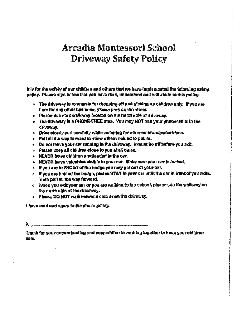# Arcadia Montessori School **Driveway Safety Policy**

It is for the safety of our children and others that we have implemented the following safety policy. Please sign below that you have read, understand and will abide to this policy.

- . The driveway is expressly for dropping off and picking up children only. If you are here for any other business, please park on the street.
- \* Please use dark walk way located on the north side of driveway.
- The driveway is a PHONE•FREE area. You may NOT use your phone while In the driveway.
- Drive slowly and carefully while watching for other childrenipedestriane.
- Pull all the way forward to allow others behind to pull in.
- Do not leave your car running in the driveway. It must be off befona you exit.
- Please keep all children close to you at all times.
- NEVER leave children unattended In the car.
- NEVER leave valuables visible in your car. Make sena your car is looked.
- If you are in FRONT of the hedge you may got out of your car.
- if you are behind the hedge, please STAY in your car until the car in front of you exits. Then pull all the way forward.
- When you exit your oar or you are walking to the school, please use the walkway on the north aide of the driveway.
- Please 00 NOT walk between cars or on the driveway.

have read and agree to the above policy.

x

Thank for your understanding and cooperation in working together to keep your children safe.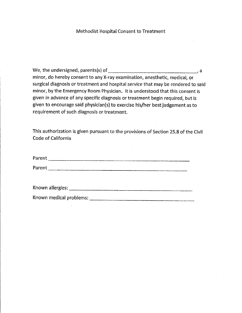## Methodist Hospital Consent to Treatment

We, the undersigned, parents(s) of  $\frac{1}{2}$  a minor, do hereby consent to any X-ray examination, anesthetic, medical, or surgical diagnosis or treatment and hospital service that may be rendered to said minor, by the Emergency Room Physician. It is understood that this consent is given in advance of any specific diagnosis or treatment begin required, but is given to encourage said physician(s) to exercise his/her best judgement as to requirement of such diagnosis or treatment.

This authorization is given pursuant to the provisions of Section 25.8 of the Civil Code of California

| Parent           |  |
|------------------|--|
| Parent           |  |
|                  |  |
| Known allergies: |  |

Known medical problems: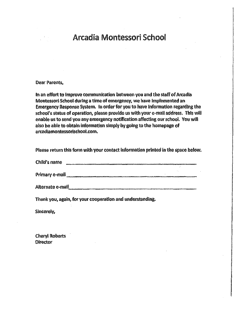# Arcadia Montessori School

#### Dear Parents,

In an effort to improve communication between you and the staff of Arcadia Montessori School during a time of emergency, we have implemented an Emergency Response System. In order for you to have Information regarding the school's status of operation, please provide us with your e-mail address. This will enable us to send you any emergency notification affecting our school. You will also be able to obtain information simply by going to the homepage of arcadiamontessorlschoolcom.

Please return this form with your contact information printed in the space below.

| Child's name |  |
|--------------|--|
|              |  |

| Primary e-mail |  |
|----------------|--|
|                |  |

Alternate e-mail

Thank you, again, for your cooperation and understanding.

Sincerely,

Cheryl Roberts **Director**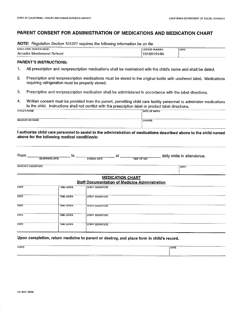### PARENT CONSENT FOR ADMINISTRATION OF MEDICATIONS AND MEDICATION CHART

NOTE: Regulation Section 101221 requires the following information be on file.

| ----------<br><br>----------------<br>The country was a control of the country of the country of the country of the country of the country of the country of the country of the country of the country of the country of the country of the country of the country o | _______         |                   |
|----------------------------------------------------------------------------------------------------------------------------------------------------------------------------------------------------------------------------------------------------------------------|-----------------|-------------------|
| CHILD CARE CENTER NAME:                                                                                                                                                                                                                                              | LICENSE NUMBER: | DATE:             |
| -Arcadia Montessori School                                                                                                                                                                                                                                           | 1918019186      |                   |
|                                                                                                                                                                                                                                                                      |                 | _________________ |

#### PARENT'S INSTRUCTIONS:

- 1. All prescription and nonprescription medications shall be maintained with the child's name and shall be dated.
- 2. Prescription and nonprescription medications must be stored in the original bottle with unaltered label. Medications requiring refrigeration must be properly stored.
- 3. Prescription and nonprescription medication shall be administered in accordance with the label directions.
- 4. Written consent must be provided from the parent, permitting child care facility personnel to administer medications to the child. Instructions shall not conflict with the prescription label or product label directions.

| <b>CHILD'S NAME</b><br>DATE OF BIRTH |  |
|--------------------------------------|--|
| <b>MEDICATION NAME</b><br>OOSAGE     |  |

I authorize child care personnel to assist in the administration of medications described above to the child named above for the following medical condition/s:

| From _              | to l<br><b>BEGINNING DATE</b> | at<br><b>ENDING DATE</b>                                                         | <b>TIME OF DAY</b> | daily while in attendance. |
|---------------------|-------------------------------|----------------------------------------------------------------------------------|--------------------|----------------------------|
| PARENT'S SIGNATURE: |                               |                                                                                  |                    | DATE:                      |
|                     |                               | <b>MEDICATION CHART</b><br><b>Staff Documentation of Medicine Administration</b> |                    |                            |
| <b>DATE</b>         | <b>TIME GIVEN</b>             | STAFF SIGNATURE                                                                  |                    |                            |
| DATE                | <b>TIME GIVEN</b>             | <b>STAFF SIGNATURE</b>                                                           |                    |                            |
| DATE                | <b>TIME GIVEN</b>             | <b>STAFF SIGNATURE</b>                                                           |                    |                            |
| DATE                | <b>TIME GIVEN</b>             | STAFF SIGNATURE                                                                  |                    |                            |
| DATE                | <b>TIME GIVEN</b>             | STAFF SIGNATURE                                                                  |                    |                            |

#### Upon completion, return medicine to parent or destroy, and place form in child's record.

| The company's contract to the company's                                                                                                                                                                                                                |             |
|--------------------------------------------------------------------------------------------------------------------------------------------------------------------------------------------------------------------------------------------------------|-------------|
|                                                                                                                                                                                                                                                        |             |
| <b>PERSONAL PROPERTY</b>                                                                                                                                                                                                                               |             |
| <b>STAFF</b>                                                                                                                                                                                                                                           | <b>DATE</b> |
| $v = 1$<br>___<br><b>The construction of the construction of the second construction of the construction of the construction of the construction of the construction of the construction of the construction of the construction of the constructi</b> |             |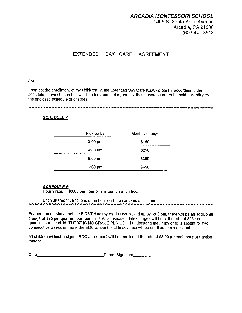1406 S. Santa Anita Avenue Arcadia, CA 91006 (626)447-3513

# EXTENDED DAY CARE AGREEMENT

For

I request the enrollment of my child(ren) in the Extended Day Care (EDC) program according to the schedule I have chosen below. I understand and agree that these charges are to be paid according to the enclosed schedule of charges.

\*\*\*\*\*\*\*\*\*\*\*\*\*\*\*\*\*\*\*\*\*\*\*\*\*\*\*\*\*\*\*\*\*\*\*\*\*\*\*\*\*\*\*\*\*\*\*\*\*\*\*\*\*\*\*\*\*\*\*\*\*\*\*\*\*\*\*\*\*\*\*\*\*\*\*\*\*\*\*\*\*\*\*\*\*\*\*\*\*\*\*\*\*\*\*\*\*\*\*\*\*\*\*\*\*\*\*\*\*\*\*\*\*\*\*\*\*\*\*\*

#### **SCHEDULE A**

| Pick up by        | Monthly charge |
|-------------------|----------------|
| $3:00$ pm         | \$150          |
| $4:00 \text{ pm}$ | \$250          |
| $5:00$ pm         | \$350          |
| $6:00 \text{ pm}$ | \$450          |

#### SCHEDULE B

Hourly rate: \$8.00 per hour or any portion of an hour

Each afternoon, fractions of an hour cost the same as a full hour \*\*\*lc\*\*\* \*\*\*\*\*\*\*\*\*\*\*\*\*\*\*\*\*\*\*\*\*\*\*\*\*\*\*\*\*\*\*\*\*\*\*\*\* \*\*\*\*\*\*\*\*\*\*\*\*\*\*\*\*\*\*\*\*\*\*\*\*\*\*\*\*\*\*\*\*\*\*\*\*\*\*\*\* \*\*\*\*\*\*\*\*\*\*\*\*\*\*\*\*\*\*\* \*\*\*\*\*\*\*\*\*\*\*\*\*\*\*\*\*

Further, I understand that the FIRST time my child is not picked up by 6:00 pm, there will be an additional charge of \$25 per quarter hour, per child. All subsequent late charges will be at the rate of \$25 per quarter hour per child. THERE IS NO GRACE PERIOD. I understand that if my child is absent for two consecutive weeks or more, the EDC amount paid in advance will be credited to my account.

All children without a signed EDC agreement will be enrolled at the rate of \$8.00 for each hour or fraction thereof.

| Date |  | Parent Signature |
|------|--|------------------|
|------|--|------------------|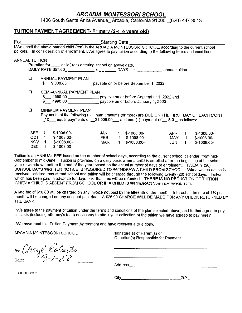1406 South Santa Anita Avenue\_ Arcadia, California 91006 \_(626) 447-3513

### TUITION PAYMENT AGREEMENT- Primary (2-4 1/2 years old)

| For                                                                                                                                                                                                                               |           |                                                                                                                           |     |    | Starting Date                 |              |             |                              |
|-----------------------------------------------------------------------------------------------------------------------------------------------------------------------------------------------------------------------------------|-----------|---------------------------------------------------------------------------------------------------------------------------|-----|----|-------------------------------|--------------|-------------|------------------------------|
| I/We enroll the above named child (ren) in the ARCADIA MONTESSORI SCHOOL, according to the current school<br>policies. In consideration of enrollment, I/We agree to pay tuition according to the following terms and conditions: |           |                                                                                                                           |     |    |                               |              |             |                              |
| <b>ANNUAL TUITION</b>                                                                                                                                                                                                             |           |                                                                                                                           |     |    |                               |              |             |                              |
|                                                                                                                                                                                                                                   |           | Proration for <u>equal</u> child (ren) entering school on above date,                                                     |     |    |                               |              |             |                              |
|                                                                                                                                                                                                                                   |           |                                                                                                                           |     |    |                               |              |             |                              |
| $\Box$                                                                                                                                                                                                                            |           | ANNUAL PAYMENT PLAN                                                                                                       |     |    |                               |              |             |                              |
|                                                                                                                                                                                                                                   |           | \$ 9,880.00 payable on or before September 1, 2022                                                                        |     |    |                               |              |             |                              |
| $\Box$                                                                                                                                                                                                                            |           | SEMI-ANNUAL PAYMENT PLAN                                                                                                  |     |    |                               |              |             |                              |
|                                                                                                                                                                                                                                   |           | \$____ 4990.00 _________________ payable on or before September 1, 2022 and                                               |     |    |                               |              |             |                              |
|                                                                                                                                                                                                                                   |           | 4990.00 ___________________ payable on or before January 1, 2023                                                          |     |    |                               |              |             |                              |
|                                                                                                                                                                                                                                   |           |                                                                                                                           |     |    |                               |              |             |                              |
| $\Box$                                                                                                                                                                                                                            |           | <b>MINIMUM PAYMENT PLAN</b><br>Payments of the following minimum amounts (or more) are DUE ON THE FIRST DAY OF EACH MONTH |     |    |                               |              |             |                              |
|                                                                                                                                                                                                                                   |           | $\_10$ equal payments of $\_$1,008.00$ and one (1) payment of $\_$ -\$-0- as follows:                                     |     |    |                               |              |             |                              |
|                                                                                                                                                                                                                                   |           |                                                                                                                           |     |    |                               |              |             |                              |
| <b>SEP</b>                                                                                                                                                                                                                        | 1.        | $$-1008.00-$                                                                                                              | JAN |    |                               |              |             |                              |
| OCT                                                                                                                                                                                                                               | $1 \quad$ | $$-1008.00-$                                                                                                              | FEB | 1. | $$-1008.00-$<br>1 \$-1008.00- | APR<br>MAY 1 | $1 -$       | $$-1008.00-$<br>$$-1008.00-$ |
| NOV.                                                                                                                                                                                                                              | $1 \quad$ | $$-1008.00-$                                                                                                              | MAR | 1  | $$-1008.00-$                  | JUN          | $\mathbf 1$ | $$-1008.00-$                 |
| DEC.                                                                                                                                                                                                                              | 1.        | $$-1008.00-$                                                                                                              |     |    |                               |              |             |                              |

Tuition is an ANNUAL FEE based on the number of school days, according to the current school calendar, from mid-September to mid-June. Tuition is pro-rated on a daily basis when a child is enrolled after the beginning of the school year or withdrawn before the end of the year, based on the actual number of days of enrollment. TWENTY (20) SCHOOL DAYS WRITTEN NOTICE IS REQUIRED TO WITHDRAW A CHILD FROM SCHOOL. When written notice is received, children may attend school and tuition will be charged through the following twenty (20) school days. Tuition which has been paid in advance for days past that time will be refunded. THERE IS NO REDUCTION OF TUITION WHEN A CHILD IS ABSENT FROM SCHOOL OR IF A CHILD IS WITHDRAWN AFTER APRIL 15th.

A late fee of \$10.00 will be charged on any invoice not paid by the fifteenth of the month. Interest at the rate of 1% per month will be charged on any account past due. A \$25.00 CHARGE WILL BE MADE FOR ANY CHECK RETURNED BY THE BANK.

I/We agree to the payment of tuition under the terms and conditions of the plan selected above, and further agree to pay all costs (including attorney's fees) necessary to affect your collection of the tuition we have agreed to pay herein.

I/We have read this Tuition Payment Agreement and have received a true copy.

ARCADIA MONTESSORI SCHOOL signature(s) of Parent(s) or

Guardian(s) Responsible for Payment

reyl Kolierto Date:  $09-1-22$ 

Address

SCHOOL COPY

City ZIP ZIP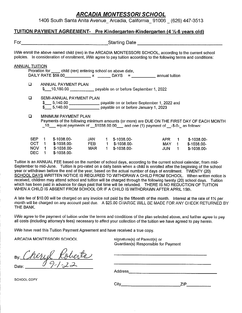1406 South Santa Anita Avenue\_ Arcadia, California\_ 91006 \_ (626) 447-3513

#### TUITION PAYMENT AGREEMENT- Pre Kindergarten-Kindergarten (4 %-6 years old)

| For                   |                                    |                              |                                                                 |                          |             | Starting Date and the starting of the starting of the starting of the starting of the starting of the starting                                                                                                                    |                     |                      |                                                                                            |
|-----------------------|------------------------------------|------------------------------|-----------------------------------------------------------------|--------------------------|-------------|-----------------------------------------------------------------------------------------------------------------------------------------------------------------------------------------------------------------------------------|---------------------|----------------------|--------------------------------------------------------------------------------------------|
|                       |                                    |                              |                                                                 |                          |             | I/We enroll the above named child (ren) in the ARCADIA MONTESSORI SCHOOL, according to the current school<br>policies. In consideration of enrollment, I/We agree to pay tuition according to the following terms and conditions: |                     |                      |                                                                                            |
| <b>ANNUAL TUITION</b> |                                    |                              | Proration for ______ child (ren) entering school on above date, |                          |             |                                                                                                                                                                                                                                   |                     |                      |                                                                                            |
|                       | $\Box$                             |                              | ANNUAL PAYMENT PLAN                                             |                          |             | \$ __10,180.00 _ _ _ _ _ payable on or before September 1, 2022                                                                                                                                                                   |                     |                      |                                                                                            |
|                       | $\Box$                             |                              | SEMI-ANNUAL PAYMENT PLAN                                        |                          |             | \$___ 5,140.00 __________________ payable on or before September 1, 2022 and<br>\$ 5,140.00 payable on or before January 1, 2023                                                                                                  |                     |                      |                                                                                            |
|                       | 0                                  |                              | MINIMUM PAYMENT PLAN                                            |                          |             | $\_10$ equal payments of $\_ $1038.00.00$ and one (1) payment of $- $-0-$ as follows:                                                                                                                                             |                     |                      | Payments of the following minimum amounts (or more) are DUE ON THE FIRST DAY OF EACH MONTH |
|                       | <b>SEP</b><br>OCT.<br>NOV.<br>DEC. | $\overline{1}$<br>$\ddot{1}$ | $$-1038.00-$<br>1 \$-1038,00-<br>1 \$-1038.00-<br>$$-1038.00-$  | JAN<br><b>FEB</b><br>MAR | $\mathbf 1$ | $1$ \$-1038.00-<br>$1$ \$-1038.00-<br>$$-1038.00-$                                                                                                                                                                                | APR<br>MAY 1<br>JUN | $1 -$<br>$\mathbf 1$ | $$-1038.00-$<br>\$-1038.00-<br>$$-1038.00-$                                                |

Tuition is an ANNUAL FEE based on the number of school days, according to the current school calendar, from mid-September to mid-June. Tuition is pro-rated on a daily basis when a child is enrolled after the beginning of the school year or withdrawn before the end of the year, based on the actual number of days of enrollment. TWENTY (20) SCHOOL DAYS WRITTEN NOTICE IS REQUIRED TO WITHDRAW A CHILD FROM SCHOOL. When written notice is received, children may attend school and tuition will be charged through the following twenty (20) school days. Tuition which has been paid in advance for days past that time will be refunded. THERE IS NO REDUCTION OF TUITION WHEN A CHILD IS ABSENT FROM SCHOOL OR IF A CHILD IS WITHDRAWN AFTER APRIL 15th.

A late fee of \$10.00 will be charged on any invoice not paid by the fifteenth of the month. Interest at the rate of 1% per month will be charged on any account past due. A \$25.00 CHARGE WILL BE MADE FOR ANY CHECK RETURNED BY THE BANK.

I/We agree to the payment of tuition under the terms and conditions of the plan selected above, and further agree to pay all costs (including attorney's fees) necessary to affect your collection of the tuition we have agreed to pay herein.

I/We have read this Tuition Payment Agreement and have received a true copy.

ARCADIA MONTESSORI SCHOOL signature(s) of Parent(s) or

Guardian(s) Responsible for Payment

By: Cherryl Roberts Date:

Address **Container and Container and Container and Container and Container and Container and Container and Container** 

SCHOOL COPY

City ZIP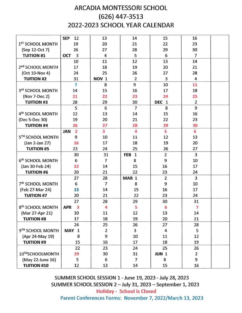# ARCADIA MONTESSORI SCHOOL (626) 447-3513 2022-2023 SCHOOL YEAR CALENDAR

|                              | <b>SEP</b><br>12 | 13                      | 14                         | 15                         | 16             |  |
|------------------------------|------------------|-------------------------|----------------------------|----------------------------|----------------|--|
| 1 <sup>ST</sup> SCHOOL MONTH | 19               | 20                      | 21                         | 22                         | 23             |  |
| (Sep 12-Oct 7)               | 26               | 27                      | 28                         | 29                         | 30             |  |
| <b>TUITION #1</b>            | 3<br><b>OCT</b>  | 4                       | 5                          | 6                          | 7              |  |
|                              | 10               | 11                      | 12                         | 13                         | 14             |  |
| 2 <sup>nd</sup> SCHOOL MONTH | 17               | 18                      | 19                         | 20                         | 21             |  |
| (Oct 10-Nov 4)               | 24               | 25                      | 26                         | 27                         | 28             |  |
| <b>TUITION #2</b>            | 31               | NOV <sub>1</sub>        | $\overline{2}$             | 3                          | 4              |  |
|                              | 7                | 8                       | 9                          | 10                         | 11             |  |
| 3rd SCHOOL MONTH             | 14               | 15                      | 16                         | 17                         | 18             |  |
| (Nov 7-Dec 2)                | 21               | 22                      | 23                         | 24                         | 25             |  |
| <b>TUITION #3</b>            | 28               | 29                      | 30                         | <b>DEC</b><br>$\mathbf{1}$ | $\overline{2}$ |  |
|                              | 5                | 6                       | $\overline{7}$             | 8                          | 9              |  |
| 4 <sup>th</sup> SCHOOL MONTH | 12               | 13                      | 14                         | 15                         | 16             |  |
| (Dec 5-Dec 30)               | 19               | 20                      | 21                         | 22                         | 23             |  |
| <b>TUITION #4</b>            | 26               | 27                      | 28                         | 29                         | 30             |  |
|                              | 2<br><b>JAN</b>  | $\overline{\mathbf{3}}$ | 4                          | 5                          | 6              |  |
| 5TH SCHOOL MONTH             | 9                | 10                      | 11                         | 12                         | 13             |  |
| (Jan 2-Jan 27)               | 16               | 17                      | 18                         | 19                         | 20             |  |
| <b>TUITION #5</b>            | 23               | 24                      | 25                         | 26                         | 27             |  |
|                              | 30               | 31                      | $\mathbf{1}$<br><b>FEB</b> | $\overline{2}$             | 3              |  |
| 6 <sup>th</sup> SCHOOL MONTH | 6                | $\overline{7}$          | 8                          | 9                          | 10             |  |
| (Jan 30-Feb 24)              | 13               | 14                      | 15                         | 16                         | 17             |  |
| <b>TUITION #6</b>            | 20               | 21                      | 22                         | 23                         | 24             |  |
|                              | 27               | 28                      | MAR 1                      | $\overline{2}$             | 3              |  |
| 7 <sup>th</sup> SCHOOL MONTH | 6                | $\overline{7}$          | 8                          | 9                          | 10             |  |
| (Feb 27-Mar 24)              | 13               | 14                      | 15                         | 16                         | 17             |  |
| <b>TUITION #7</b>            | 20               | 21                      | 22                         | 23                         | 24             |  |
|                              | 27               | 28                      | 29                         | 30                         | 31             |  |
| 8 <sup>th</sup> SCHOOL MONTH | 3<br><b>APR</b>  | 4                       | 5                          | 6                          | 7              |  |
| (Mar 27-Apr 21)              | 10               | 11                      | 12                         | 13                         | 14             |  |
| <b>TUITION #8</b>            | 17               | 18                      | 19                         | 20                         | 21             |  |
|                              | 24               | 25                      | 26                         | 27                         | 28             |  |
| 9TH SCHOOL MONTH             | MAY 1            | $\overline{2}$          | 3                          | 4                          | 5              |  |
| (Apr 24-May 19)              | 8                | 9                       | 10                         | 11                         | 12             |  |
| <b>TUITION #9</b>            | 15               | 16                      | 17                         | 18                         | 19             |  |
|                              | 22               | 23                      | 24                         | 25                         | 26             |  |
| 10THSCHOOLMONTH              | 29               | 30                      | 31                         | JUN <sub>1</sub>           | $\overline{2}$ |  |
| (May 22-June 16)             | 5                | 6                       | $\overline{7}$             | 8                          | 9              |  |
| <b>TUITION #10</b>           | 12               | 13                      | 14                         | 15                         | 16             |  |

SUMMER SCHOOL SESSION 1 - June 19, 2023 - July 28, 2023 SUMMER SCHOOL SESSION 2 —July 31, 2023 — September 1, 2023 Holiday - School is Closed Parent Conferences Forms: November 7, 2022/March 13, 2023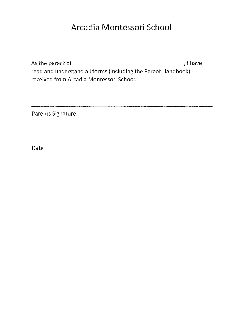# Arcadia Montessori School

As the parent of  $\qquad \qquad$ read and understand all forms (including the Parent Handbook) received from Arcadia Montessori School.

Parents Signature

Date